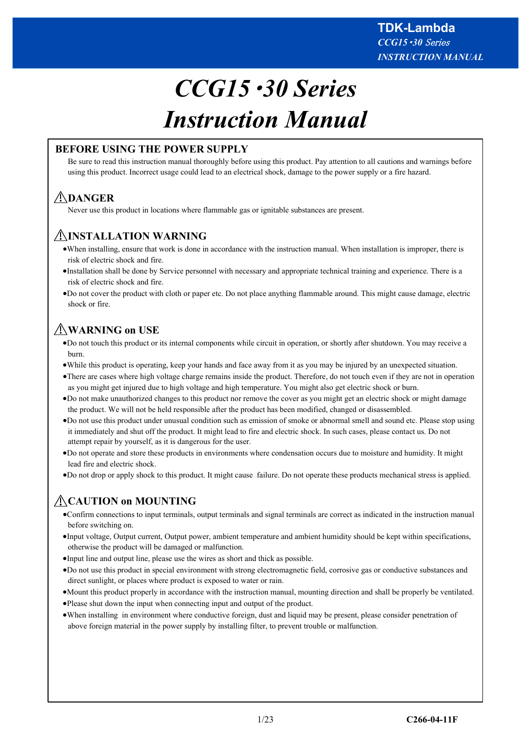# *CCG15*・*30 Series Instruction Manual*

# **BEFORE USING THE POWER SUPPLY**

Be sure to read this instruction manual thoroughly before using this product. Pay attention to all cautions and warnings before using this product. Incorrect usage could lead to an electrical shock, damage to the power supply or a fire hazard.

# **DANGER**

Never use this product in locations where flammable gas or ignitable substances are present.

# **INSTALLATION WARNING**

- ·When installing, ensure that work is done in accordance with the instruction manual. When installation is improper, there is risk of electric shock and fire.
- ·Installation shall be done by Service personnel with necessary and appropriate technical training and experience. There is a risk of electric shock and fire.
- ·Do not cover the product with cloth or paper etc. Do not place anything flammable around. This might cause damage, electric shock or fire.

# **WARNING on USE**

- ·Do not touch this product or its internal components while circuit in operation, or shortly after shutdown. You may receive a burn.
- ·While this product is operating, keep your hands and face away from it as you may be injured by an unexpected situation.
- ·There are cases where high voltage charge remains inside the product. Therefore, do not touch even if they are not in operation as you might get injured due to high voltage and high temperature. You might also get electric shock or burn.
- ·Do not make unauthorized changes to this product nor remove the cover as you might get an electric shock or might damage the product. We will not be held responsible after the product has been modified, changed or disassembled.
- ·Do not use this product under unusual condition such as emission of smoke or abnormal smell and sound etc. Please stop using it immediately and shut off the product. It might lead to fire and electric shock. In such cases, please contact us. Do not attempt repair by yourself, as it is dangerous for the user.
- ·Do not operate and store these products in environments where condensation occurs due to moisture and humidity. It might lead fire and electric shock.
- ·Do not drop or apply shock to this product. It might cause failure. Do not operate these products mechanical stress is applied.

# **CAUTION on MOUNTING**

- ·Confirm connections to input terminals, output terminals and signal terminals are correct as indicated in the instruction manual before switching on.
- ·Input voltage, Output current, Output power, ambient temperature and ambient humidity should be kept within specifications, otherwise the product will be damaged or malfunction.
- ·Input line and output line, please use the wires as short and thick as possible.
- ·Do not use this product in special environment with strong electromagnetic field, corrosive gas or conductive substances and direct sunlight, or places where product is exposed to water or rain.
- ·Mount this product properly in accordance with the instruction manual, mounting direction and shall be properly be ventilated.
- ·Please shut down the input when connecting input and output of the product.
- ·When installing in environment where conductive foreign, dust and liquid may be present, please consider penetration of above foreign material in the power supply by installing filter, to prevent trouble or malfunction.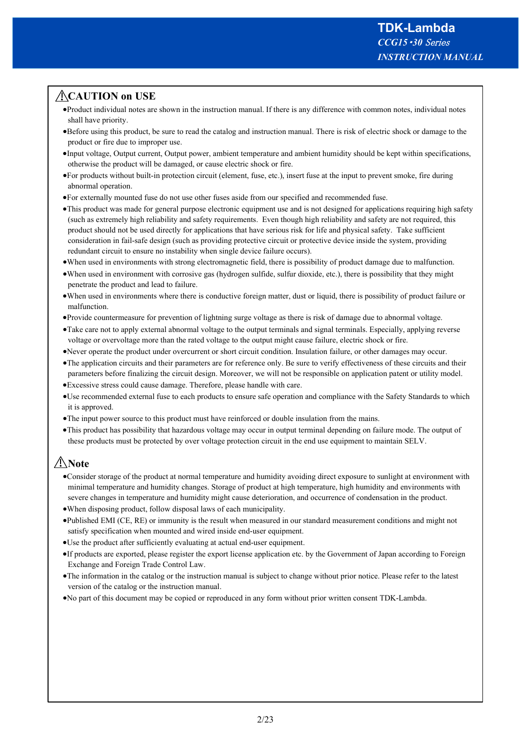# **CAUTION on USE**

- ·Product individual notes are shown in the instruction manual. If there is any difference with common notes, individual notes shall have priority.
- ·Before using this product, be sure to read the catalog and instruction manual. There is risk of electric shock or damage to the product or fire due to improper use.
- ·Input voltage, Output current, Output power, ambient temperature and ambient humidity should be kept within specifications, otherwise the product will be damaged, or cause electric shock or fire.
- ·For products without built-in protection circuit (element, fuse, etc.), insert fuse at the input to prevent smoke, fire during abnormal operation.
- ·For externally mounted fuse do not use other fuses aside from our specified and recommended fuse.
- ·This product was made for general purpose electronic equipment use and is not designed for applications requiring high safety (such as extremely high reliability and safety requirements. Even though high reliability and safety are not required, this product should not be used directly for applications that have serious risk for life and physical safety. Take sufficient consideration in fail-safe design (such as providing protective circuit or protective device inside the system, providing redundant circuit to ensure no instability when single device failure occurs).
- ·When used in environments with strong electromagnetic field, there is possibility of product damage due to malfunction.
- ·When used in environment with corrosive gas (hydrogen sulfide, sulfur dioxide, etc.), there is possibility that they might penetrate the product and lead to failure.
- ·When used in environments where there is conductive foreign matter, dust or liquid, there is possibility of product failure or malfunction.
- ·Provide countermeasure for prevention of lightning surge voltage as there is risk of damage due to abnormal voltage.
- ·Take care not to apply external abnormal voltage to the output terminals and signal terminals. Especially, applying reverse voltage or overvoltage more than the rated voltage to the output might cause failure, electric shock or fire.
- ·Never operate the product under overcurrent or short circuit condition. Insulation failure, or other damages may occur.
- ·The application circuits and their parameters are for reference only. Be sure to verify effectiveness of these circuits and their parameters before finalizing the circuit design. Moreover, we will not be responsible on application patent or utility model.
- ·Excessive stress could cause damage. Therefore, please handle with care.
- ·Use recommended external fuse to each products to ensure safe operation and compliance with the Safety Standards to which it is approved.
- ·The input power source to this product must have reinforced or double insulation from the mains.
- ·This product has possibility that hazardous voltage may occur in output terminal depending on failure mode. The output of these products must be protected by over voltage protection circuit in the end use equipment to maintain SELV.

# **Note**

- ·Consider storage of the product at normal temperature and humidity avoiding direct exposure to sunlight at environment with minimal temperature and humidity changes. Storage of product at high temperature, high humidity and environments with severe changes in temperature and humidity might cause deterioration, and occurrence of condensation in the product.
- ·When disposing product, follow disposal laws of each municipality.
- ·Published EMI (CE, RE) or immunity is the result when measured in our standard measurement conditions and might not satisfy specification when mounted and wired inside end-user equipment.
- ·Use the product after sufficiently evaluating at actual end-user equipment.
- ·If products are exported, please register the export license application etc. by the Government of Japan according to Foreign Exchange and Foreign Trade Control Law.
- ·The information in the catalog or the instruction manual is subject to change without prior notice. Please refer to the latest version of the catalog or the instruction manual.
- ·No part of this document may be copied or reproduced in any form without prior written consent TDK-Lambda.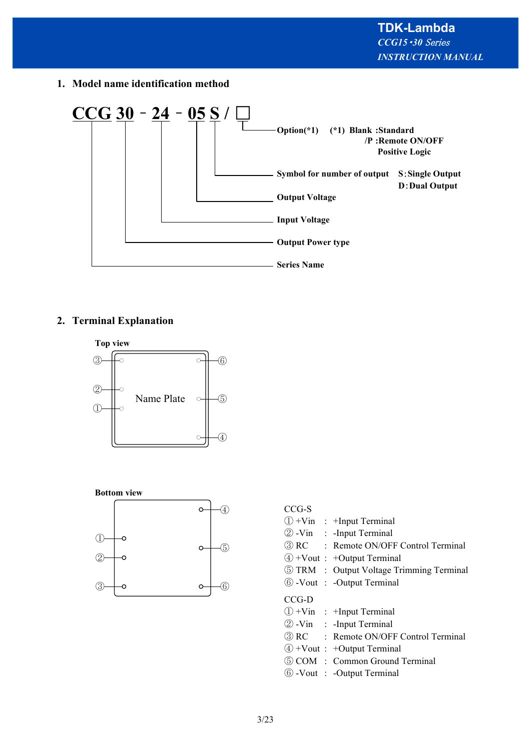**1. Model name identification method**



# **2. Terminal Explanation**





#### CCG-S

|       | $\mathbb{D}$ +Vin : +Input Terminal             |
|-------|-------------------------------------------------|
|       | 2 - Vin : - Input Terminal                      |
|       | 3 RC : Remote ON/OFF Control Terminal           |
|       | $\textcircled{4}$ +Vout : +Output Terminal      |
|       | <b>5 TRM</b> : Output Voltage Trimming Terminal |
|       | 6 - Vout : - Output Terminal                    |
| CCG-D |                                                 |
|       |                                                 |
|       | $(1) + \text{Vin}$ : +Input Terminal            |
|       | 2 - Vin : - Input Terminal                      |
|       | 3) RC : Remote ON/OFF Control Terminal          |
|       | $\textcircled{4}$ +Vout : +Output Terminal      |
|       | 5 COM : Common Ground Terminal                  |
|       | 6 - Vout : - Output Terminal                    |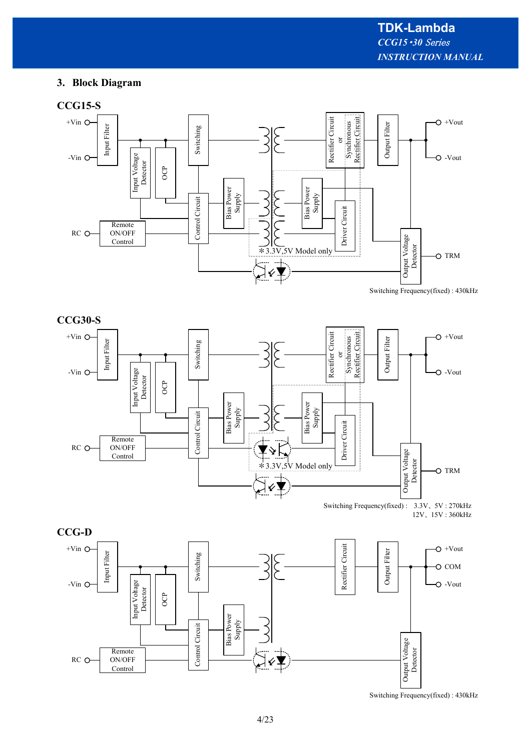# **3. Block Diagram**

# **CCG15-S**





Switching Frequency(fixed) : 3.3V、 5V : 270kHz 12V、 15V : 360kHz



Switching Frequency(fixed) : 430kHz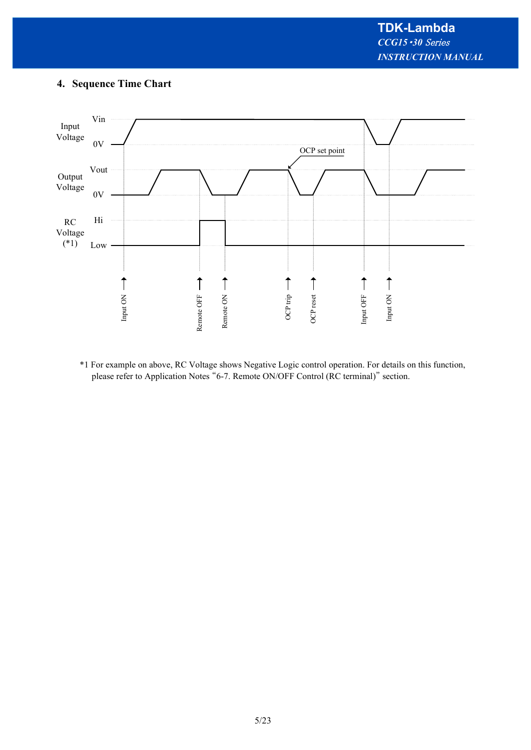# **4. Sequence Time Chart**



\*1 For example on above, RC Voltage shows Negative Logic control operation. For details on this function, please refer to Application Notes "6-7. Remote ON/OFF Control (RC terminal)" section.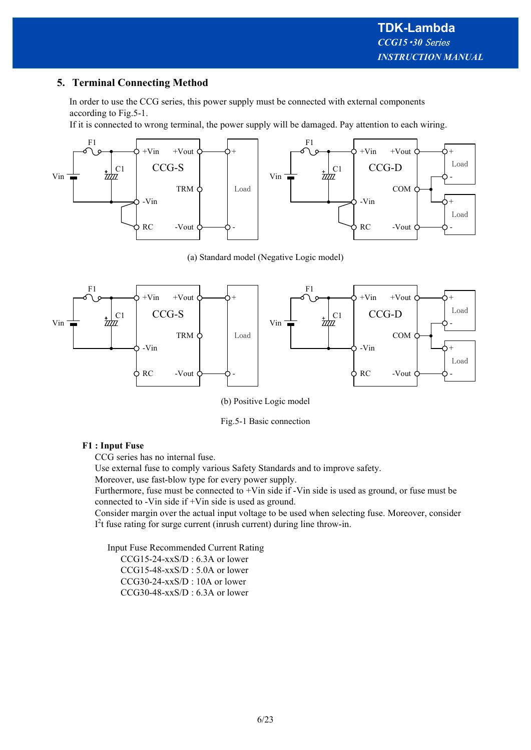# **5. Terminal Connecting Method**

In order to use the CCG series, this power supply must be connected with external components according to Fig.5-1.

If it is connected to wrong terminal, the power supply will be damaged. Pay attention to each wiring.



(a) Standard model (Negative Logic model)



(b) Positive Logic model

Fig.5-1 Basic connection

#### **F1 : Input Fuse**

CCG series has no internal fuse.

Use external fuse to comply various Safety Standards and to improve safety.

Moreover, use fast-blow type for every power supply.

Furthermore, fuse must be connected to +Vin side if -Vin side is used as ground, or fuse must be connected to -Vin side if +Vin side is used as ground.

Consider margin over the actual input voltage to be used when selecting fuse. Moreover, consider  $I<sup>2</sup>t$  fuse rating for surge current (inrush current) during line throw-in.

Input Fuse Recommended Current Rating

 CCG15-24-xxS/D : 6.3A or lower CCG15-48-xxS/D : 5.0A or lower CCG30-24-xxS/D : 10A or lower CCG30-48-xxS/D : 6.3A or lower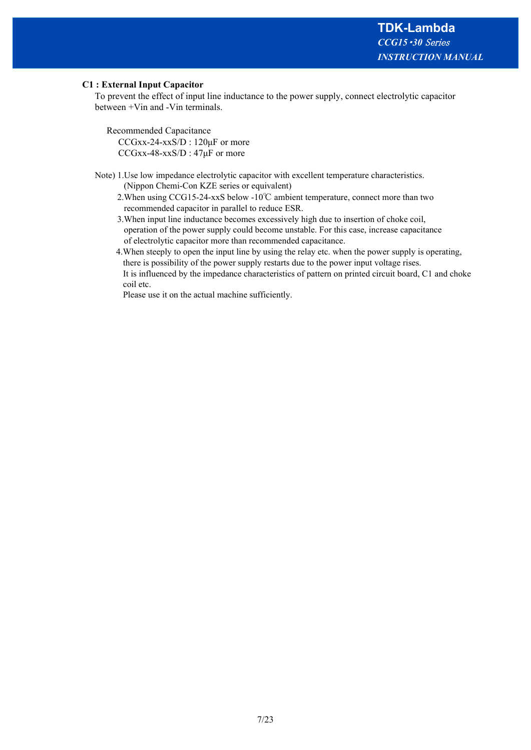#### **C1 : External Input Capacitor**

To prevent the effect of input line inductance to the power supply, connect electrolytic capacitor between +Vin and -Vin terminals.

Recommended Capacitance

 CCGxx-24-xxS/D : 120μF or more CCGxx-48-xxS/D : 47μF or more

Note) 1.Use low impedance electrolytic capacitor with excellent temperature characteristics. (Nippon Chemi-Con KZE series or equivalent)

- 2.When using CCG15-24-xxS below -10℃ ambient temperature, connect more than two recommended capacitor in parallel to reduce ESR.
- 3.When input line inductance becomes excessively high due to insertion of choke coil, operation of the power supply could become unstable. For this case, increase capacitance of electrolytic capacitor more than recommended capacitance.
- 4.When steeply to open the input line by using the relay etc. when the power supply is operating, there is possibility of the power supply restarts due to the power input voltage rises. It is influenced by the impedance characteristics of pattern on printed circuit board, C1 and choke coil etc.

Please use it on the actual machine sufficiently.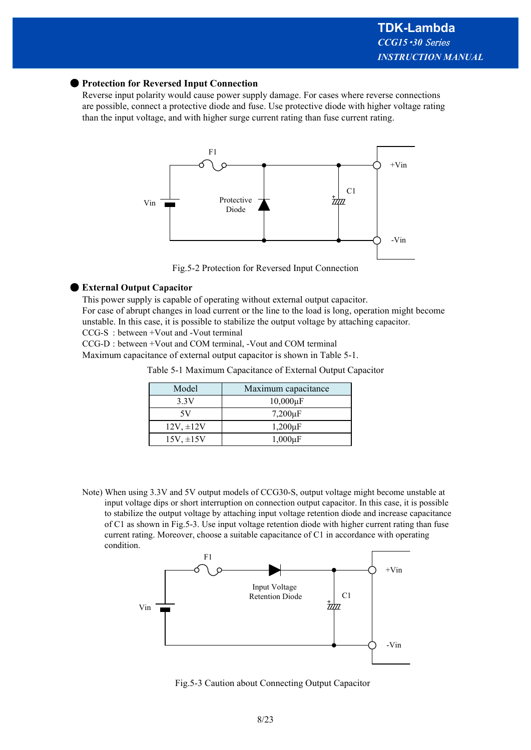#### ● **Protection for Reversed Input Connection**

Reverse input polarity would cause power supply damage. For cases where reverse connections are possible, connect a protective diode and fuse. Use protective diode with higher voltage rating than the input voltage, and with higher surge current rating than fuse current rating.



Fig.5-2 Protection for Reversed Input Connection

#### ● **External Output Capacitor**

This power supply is capable of operating without external output capacitor. For case of abrupt changes in load current or the line to the load is long, operation might become unstable. In this case, it is possible to stabilize the output voltage by attaching capacitor. CCG-S : between +Vout and -Vout terminal

CCG-D : between +Vout and COM terminal, -Vout and COM terminal

Maximum capacitance of external output capacitor is shown in Table 5-1.

|       | Table 5-1 Maximum Capacitance of External Output Capacitor |  |
|-------|------------------------------------------------------------|--|
| Model | Maximum canacitance                                        |  |

| Model          | Maximum capacitance |
|----------------|---------------------|
| 3.3V           | $10,000\mu F$       |
| 5V             | $7,200\mu F$        |
| $12V, \pm 12V$ | $1,200\mu F$        |
| $15V, \pm 15V$ | $1,000\mu F$        |

Note) When using 3.3V and 5V output models of CCG30-S, output voltage might become unstable at input voltage dips or short interruption on connection output capacitor. In this case, it is possible to stabilize the output voltage by attaching input voltage retention diode and increase capacitance of C1 as shown in Fig.5-3. Use input voltage retention diode with higher current rating than fuse current rating. Moreover, choose a suitable capacitance of C1 in accordance with operating condition.



Fig.5-3 Caution about Connecting Output Capacitor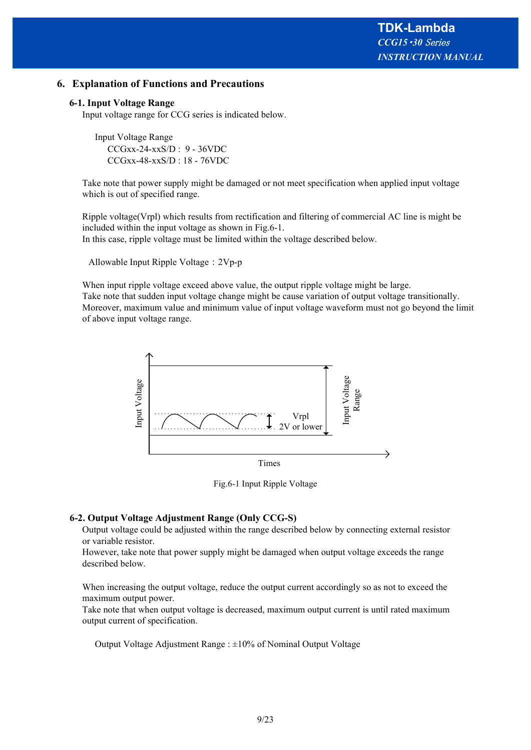## **6. Explanation of Functions and Precautions**

#### **6-1. Input Voltage Range**

Input voltage range for CCG series is indicated below.

Input Voltage Range CCGxx-24-xxS/D : 9 - 36VDC CCGxx-48-xxS/D : 18 - 76VDC

Take note that power supply might be damaged or not meet specification when applied input voltage which is out of specified range.

Ripple voltage(Vrpl) which results from rectification and filtering of commercial AC line is might be included within the input voltage as shown in Fig.6-1.

In this case, ripple voltage must be limited within the voltage described below.

Allowable Input Ripple Voltage:2Vp-p

When input ripple voltage exceed above value, the output ripple voltage might be large. Take note that sudden input voltage change might be cause variation of output voltage transitionally. Moreover, maximum value and minimum value of input voltage waveform must not go beyond the limit of above input voltage range.



Fig.6-1 Input Ripple Voltage

#### **6-2. Output Voltage Adjustment Range (Only CCG-S)**

Output voltage could be adjusted within the range described below by connecting external resistor or variable resistor.

However, take note that power supply might be damaged when output voltage exceeds the range described below.

When increasing the output voltage, reduce the output current accordingly so as not to exceed the maximum output power.

Take note that when output voltage is decreased, maximum output current is until rated maximum output current of specification.

Output Voltage Adjustment Range : ±10% of Nominal Output Voltage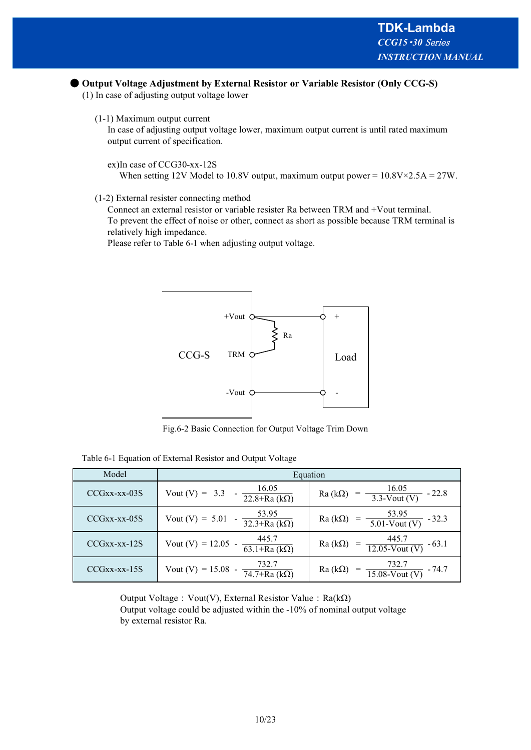#### ● Output Voltage Adjustment by External Resistor or Variable Resistor (Only CCG-S)

(1) In case of adjusting output voltage lower

(1-1) Maximum output current

In case of adjusting output voltage lower, maximum output current is until rated maximum output current of specification.

ex)In case of CCG30-xx-12S

When setting 12V Model to 10.8V output, maximum output power =  $10.8V \times 2.5A = 27W$ .

#### (1-2) External resister connecting method

Connect an external resistor or variable resister Ra between TRM and +Vout terminal. To prevent the effect of noise or other, connect as short as possible because TRM terminal is relatively high impedance.

Please refer to Table 6-1 when adjusting output voltage.



Fig.6-2 Basic Connection for Output Voltage Trim Down

| Table 6-1 Equation of External Resistor and Output Voltage |  |
|------------------------------------------------------------|--|
|------------------------------------------------------------|--|

| Model               | Equation                                                          |                                                                      |  |
|---------------------|-------------------------------------------------------------------|----------------------------------------------------------------------|--|
| $CCGxx$ - $xx$ -03S | 16.05<br>Vout $(V) = 3.3$<br>$\sqrt{22.8+Ra(k\Omega)}$            | $\frac{16.05}{3.3\text{-Vout (V)}}$<br>$- -22.8$<br>$Ra(k\Omega)$    |  |
| $CCGxx$ - $xx$ -05S | $\frac{53.95}{32.3 + Ra (k\Omega)}$<br>Vout $(V) = 5.01$          | $\frac{53.95}{5.01\text{-Vout (V)}}$ - 32.3<br>$Ra(k\Omega)$         |  |
| $CCGxx$ - $xx$ -12S | $\frac{445.7}{63.1 + Ra (k\Omega)}$<br>Vout (V) = $12.05$ -       | Ra (k $\Omega$ ) = $\frac{445.7}{12.05 \text{-Vout (V)}}$<br>$-63.1$ |  |
| $CCGxx$ - $xx$ -15S | 732.7<br>Vout (V) = $15.08$ -<br>$\overline{74.7 + Ra (k\Omega)}$ | $=\frac{732.7}{15.08\text{-Vout (V)}}$ - 74.7<br>$Ra(k\Omega)$       |  |

Output Voltage: Vout(V), External Resistor Value: Ra(kΩ) Output voltage could be adjusted within the -10% of nominal output voltage by external resistor Ra.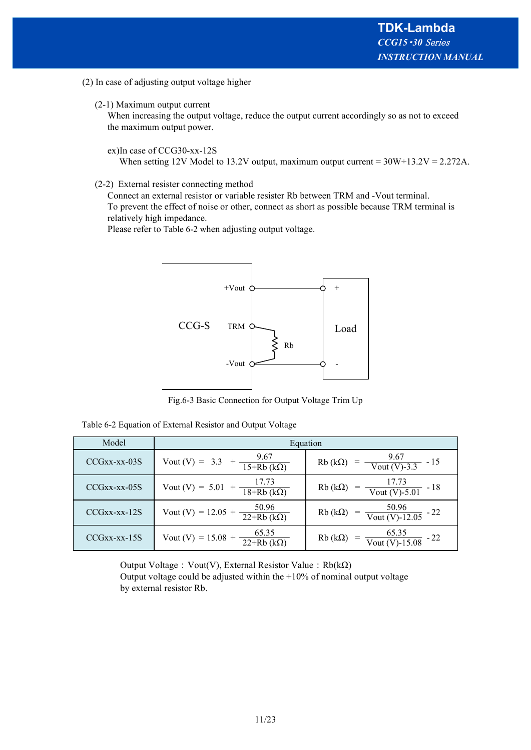- (2) In case of adjusting output voltage higher
	- (2-1) Maximum output current

When increasing the output voltage, reduce the output current accordingly so as not to exceed the maximum output power.

ex)In case of CCG30-xx-12S

When setting 12V Model to 13.2V output, maximum output current =  $30W\div 13.2V = 2.272A$ .

(2-2) External resister connecting method

Connect an external resistor or variable resister Rb between TRM and -Vout terminal. To prevent the effect of noise or other, connect as short as possible because TRM terminal is relatively high impedance.

Please refer to Table 6-2 when adjusting output voltage.



Fig.6-3 Basic Connection for Output Voltage Trim Up

Table 6-2 Equation of External Resistor and Output Voltage

| Model               | Equation                                                  |                                                                  |  |
|---------------------|-----------------------------------------------------------|------------------------------------------------------------------|--|
| $CCGxx$ - $xx$ -03S | Vout (V) = 3.3 + $\frac{9.67}{15+Rb (k\Omega)}$           | $= \frac{9.67}{\text{Vout (V)} \cdot 3.3} - 15$<br>$Rb(k\Omega)$ |  |
| $CCGxx$ - $xx$ -05S | Vout (V) = 5.01 + $\frac{17.73}{18+Rb (k\Omega)}$         | Rb (k $\Omega$ ) = $\frac{17.73}{\text{Vout (V)-5.01}}$ - 18     |  |
| $CCGxx$ - $xx$ -12S | $\frac{50.96}{22+Rb (k\Omega)}$<br>Vout (V) = $12.05 +$   | Rb (k $\Omega$ ) = $\frac{50.96}{\text{Vout (V)}-12.05}$ - 22    |  |
| $CCGxx$ - $xx$ -15S | $\frac{65.35}{22 + Rb (k\Omega)}$<br>Vout (V) = $15.08$ + | $= \frac{65.35}{\text{Vout (V)-15.08}} - 22$<br>$Rb(k\Omega)$    |  |

Output Voltage: Vout(V), External Resistor Value: Rb(kΩ) Output voltage could be adjusted within the  $+10\%$  of nominal output voltage by external resistor Rb.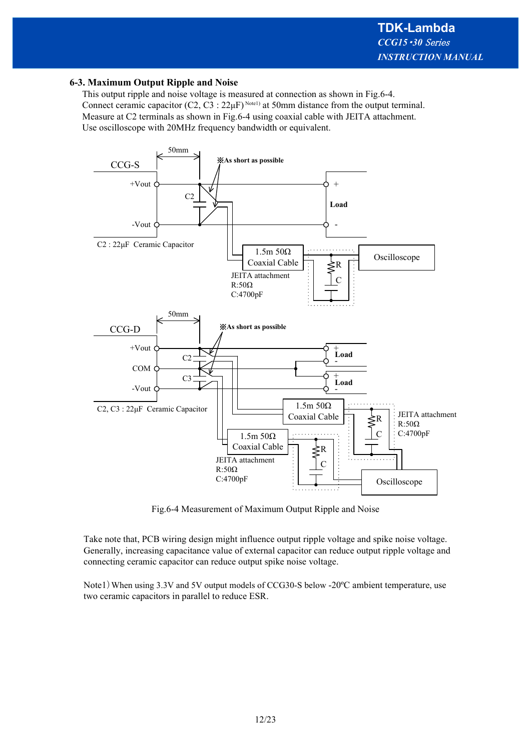#### **6-3. Maximum Output Ripple and Noise**

This output ripple and noise voltage is measured at connection as shown in Fig.6-4. Connect ceramic capacitor  $(C2, C3 : 22\mu F)^{Notel}$  at 50mm distance from the output terminal. Measure at C2 terminals as shown in Fig.6-4 using coaxial cable with JEITA attachment. Use oscilloscope with 20MHz frequency bandwidth or equivalent.



Fig.6-4 Measurement of Maximum Output Ripple and Noise

Take note that, PCB wiring design might influence output ripple voltage and spike noise voltage. Generally, increasing capacitance value of external capacitor can reduce output ripple voltage and connecting ceramic capacitor can reduce output spike noise voltage.

Note1) When using 3.3V and 5V output models of CCG30-S below -20°C ambient temperature, use two ceramic capacitors in parallel to reduce ESR.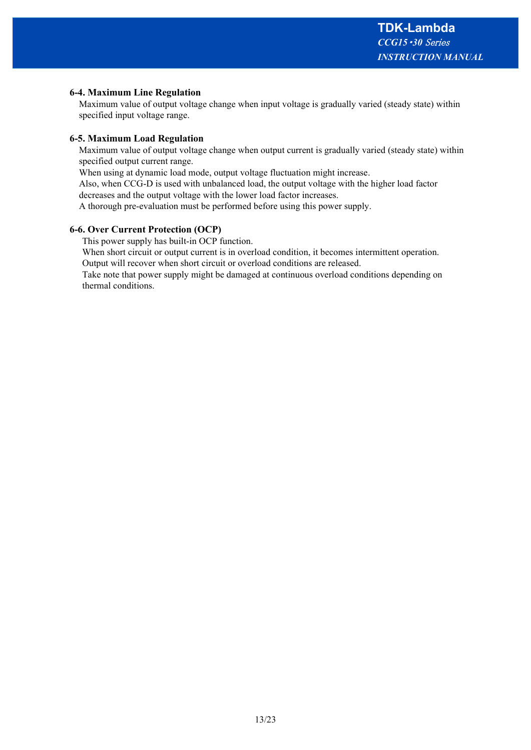#### **6-4. Maximum Line Regulation**

Maximum value of output voltage change when input voltage is gradually varied (steady state) within specified input voltage range.

#### **6-5. Maximum Load Regulation**

Maximum value of output voltage change when output current is gradually varied (steady state) within specified output current range.

When using at dynamic load mode, output voltage fluctuation might increase.

Also, when CCG-D is used with unbalanced load, the output voltage with the higher load factor

decreases and the output voltage with the lower load factor increases.

A thorough pre-evaluation must be performed before using this power supply.

#### **6-6. Over Current Protection (OCP)**

This power supply has built-in OCP function.

When short circuit or output current is in overload condition, it becomes intermittent operation.

Output will recover when short circuit or overload conditions are released.

Take note that power supply might be damaged at continuous overload conditions depending on thermal conditions.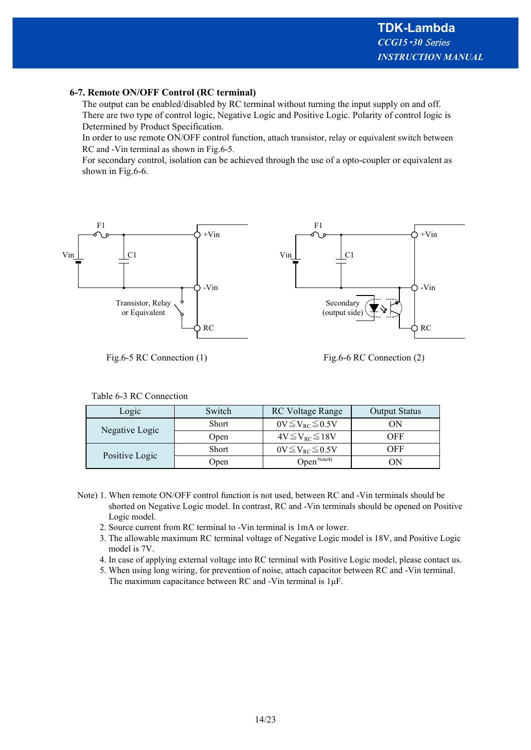#### **6-7. Remote ON/OFF Control (RC terminal)**

The output can be enabled/disabled by RC terminal without turning the input supply on and off. There are two type of control logic, Negative Logic and Positive Logic. Polarity of control logic is Determined by Product Specification.

In order to use remote ON/OFF control function, attach transistor, relay or equivalent switch between RC and -Vin terminal as shown in Fig.6-5.

For secondary control, isolation can be achieved through the use of a opto-coupler or equivalent as shown in Fig.6-6.



Fig.6-5 RC Connection (1)

Fig.6-6 RC Connection (2)

|  | Table 6-3 RC Connection |
|--|-------------------------|
|--|-------------------------|

| Logic          | Switch | <b>RC</b> Voltage Range    | <b>Output Status</b> |
|----------------|--------|----------------------------|----------------------|
| Negative Logic | Short  | $0V \leq V_{RC} \leq 0.5V$ | OΝ                   |
|                | Open   | $4V \leq V_{RC} \leq 18V$  | OFF                  |
| Positive Logic | Short  | $0V \leq V_{RC} \leq 0.5V$ | OFF                  |
|                | Jpen   | Open $N_{\text{ote4}}$     |                      |

- Note) 1. When remote ON/OFF control function is not used, between RC and -Vin terminals should be shorted on Negative Logic model. In contrast, RC and -Vin terminals should be opened on Positive Logic model.
	- 2. Source current from RC terminal to -Vin terminal is 1mA or lower.
	- 3. The allowable maximum RC terminal voltage of Negative Logic model is 18V, and Positive Logic model is 7V.
	- 4. In case of applying external voltage into RC terminal with Positive Logic model, please contact us.
	- 5. When using long wiring, for prevention of noise, attach capacitor between RC and -Vin terminal. The maximum capacitance between RC and -Vin terminal is 1μF.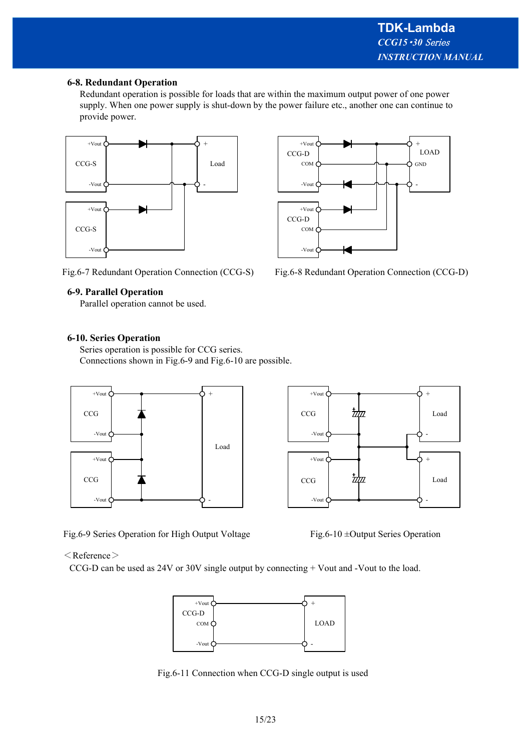#### **6-8. Redundant Operation**

Redundant operation is possible for loads that are within the maximum output power of one power supply. When one power supply is shut-down by the power failure etc., another one can continue to provide power.



Fig.6-7 Redundant Operation Connection (CCG-S)

# **6-9. Parallel Operation**

Parallel operation cannot be used.

#### **6-10. Series Operation**

Series operation is possible for CCG series. Connections shown in Fig.6-9 and Fig.6-10 are possible.



Fig.6-9 Series Operation for High Output Voltage



Fig.6-8 Redundant Operation Connection (CCG-D)



Fig.6-10 ±Output Series Operation

#### $<$ Reference $>$

CCG-D can be used as 24V or 30V single output by connecting + Vout and -Vout to the load.



Fig.6-11 Connection when CCG-D single output is used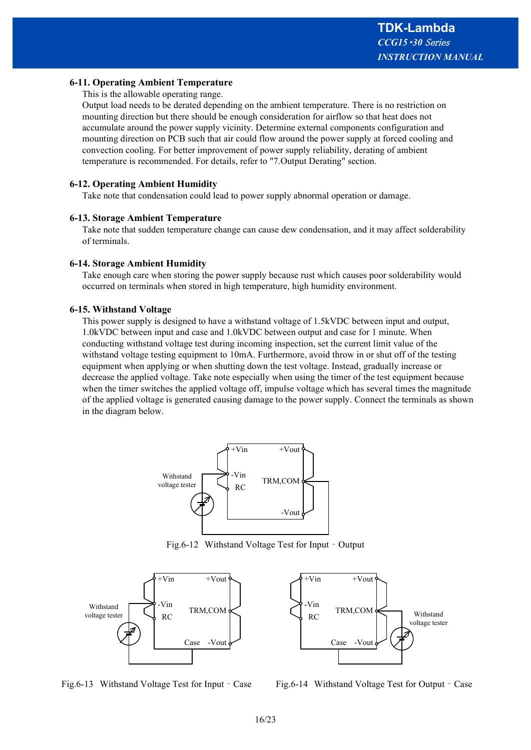#### **6-11. Operating Ambient Temperature**

This is the allowable operating range.

Output load needs to be derated depending on the ambient temperature. There is no restriction on mounting direction but there should be enough consideration for airflow so that heat does not accumulate around the power supply vicinity. Determine external components configuration and mounting direction on PCB such that air could flow around the power supply at forced cooling and convection cooling. For better improvement of power supply reliability, derating of ambient temperature is recommended. For details, refer to "7.Output Derating" section.

#### **6-12. Operating Ambient Humidity**

Take note that condensation could lead to power supply abnormal operation or damage.

#### **6-13. Storage Ambient Temperature**

Take note that sudden temperature change can cause dew condensation, and it may affect solderability of terminals.

#### **6-14. Storage Ambient Humidity**

Take enough care when storing the power supply because rust which causes poor solderability would occurred on terminals when stored in high temperature, high humidity environment.

#### **6-15. Withstand Voltage**

This power supply is designed to have a withstand voltage of 1.5kVDC between input and output, 1.0kVDC between input and case and 1.0kVDC between output and case for 1 minute. When conducting withstand voltage test during incoming inspection, set the current limit value of the withstand voltage testing equipment to 10mA. Furthermore, avoid throw in or shut off of the testing equipment when applying or when shutting down the test voltage. Instead, gradually increase or decrease the applied voltage. Take note especially when using the timer of the test equipment because when the timer switches the applied voltage off, impulse voltage which has several times the magnitude of the applied voltage is generated causing damage to the power supply. Connect the terminals as shown in the diagram below.



Fig.6-12 Withstand Voltage Test for Input – Output





Fig.6-13 Withstand Voltage Test for Input – Case Fig.6-14 Withstand Voltage Test for Output – Case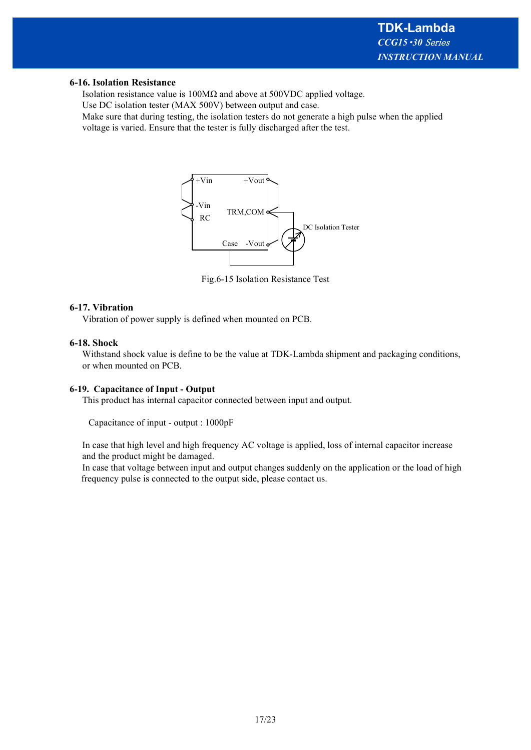#### **6-16. Isolation Resistance**

Isolation resistance value is 100MΩ and above at 500VDC applied voltage.

Use DC isolation tester (MAX 500V) between output and case.

Make sure that during testing, the isolation testers do not generate a high pulse when the applied voltage is varied. Ensure that the tester is fully discharged after the test.



Fig.6-15 Isolation Resistance Test

#### **6-17. Vibration**

Vibration of power supply is defined when mounted on PCB.

#### **6-18. Shock**

Withstand shock value is define to be the value at TDK-Lambda shipment and packaging conditions, or when mounted on PCB.

#### **6-19. Capacitance of Input - Output**

This product has internal capacitor connected between input and output.

Capacitance of input - output : 1000pF

In case that high level and high frequency AC voltage is applied, loss of internal capacitor increase and the product might be damaged.

In case that voltage between input and output changes suddenly on the application or the load of high frequency pulse is connected to the output side, please contact us.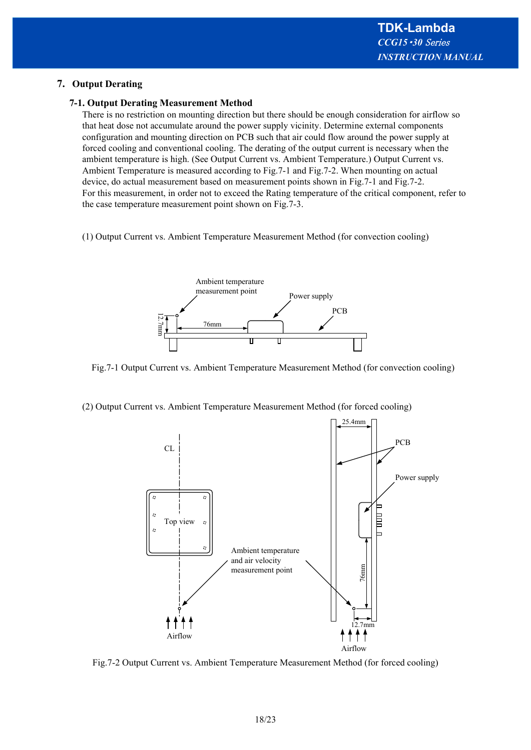## **7. Output Derating**

#### **7-1. Output Derating Measurement Method**

There is no restriction on mounting direction but there should be enough consideration for airflow so that heat dose not accumulate around the power supply vicinity. Determine external components configuration and mounting direction on PCB such that air could flow around the power supply at forced cooling and conventional cooling. The derating of the output current is necessary when the ambient temperature is high. (See Output Current vs. Ambient Temperature.) Output Current vs. Ambient Temperature is measured according to Fig.7-1 and Fig.7-2. When mounting on actual device, do actual measurement based on measurement points shown in Fig.7-1 and Fig.7-2. For this measurement, in order not to exceed the Rating temperature of the critical component, refer to the case temperature measurement point shown on Fig.7-3.

(1) Output Current vs. Ambient Temperature Measurement Method (for convection cooling)



Fig.7-1 Output Current vs. Ambient Temperature Measurement Method (for convection cooling)

(2) Output Current vs. Ambient Temperature Measurement Method (for forced cooling)



Fig.7-2 Output Current vs. Ambient Temperature Measurement Method (for forced cooling)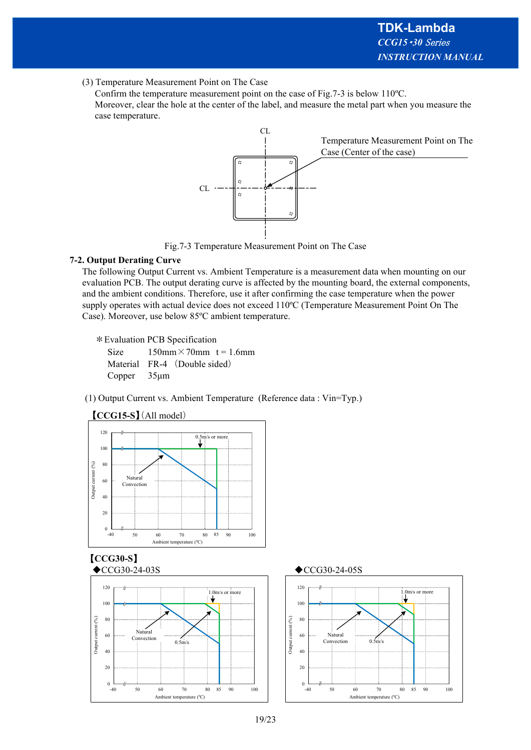(3) Temperature Measurement Point on The Case

Confirm the temperature measurement point on the case of Fig.7-3 is below 110ºC. Moreover, clear the hole at the center of the label, and measure the metal part when you measure the case temperature.



Fig.7-3 Temperature Measurement Point on The Case

## **7-2. Output Derating Curve**

The following Output Current vs. Ambient Temperature is a measurement data when mounting on our evaluation PCB. The output derating curve is affected by the mounting board, the external components, and the ambient conditions. Therefore, use it after confirming the case temperature when the power supply operates with actual device does not exceed 110ºC (Temperature Measurement Point On The Case). Moreover, use below 85ºC ambient temperature.

\*Evaluation PCB Specification

Size  $150 \text{mm} \times 70 \text{mm}$  t = 1.6mm Material FR-4 (Double sided) Copper 35μm

(1) Output Current vs. Ambient Temperature (Reference data : Vin=Typ.)





# 【**CCG15-S**】(All model)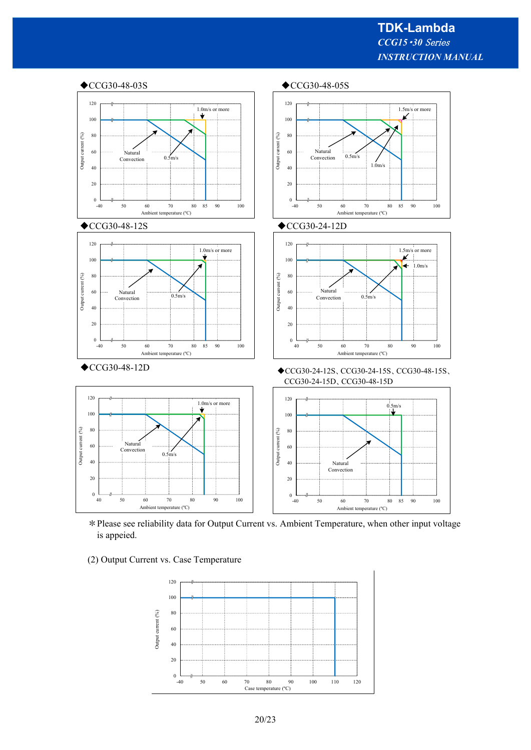

\*Please see reliability data for Output Current vs. Ambient Temperature, when other input voltage is appeied.



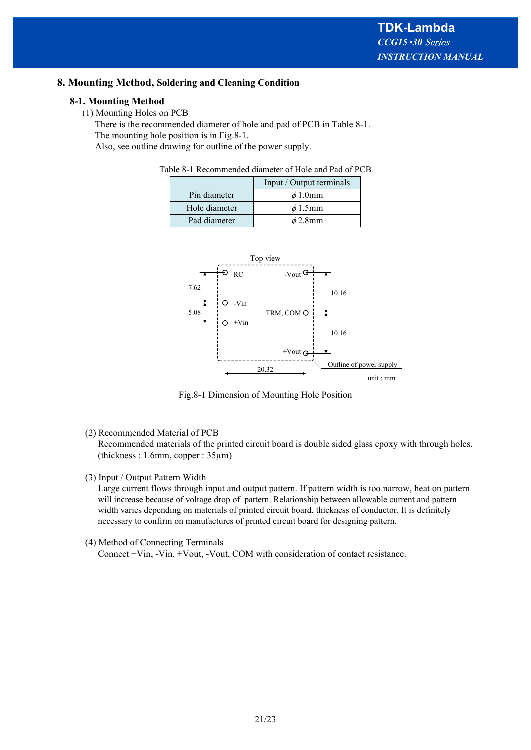#### **8. Mounting Method, Soldering and Cleaning Condition**

#### **8-1. Mounting Method**

(1) Mounting Holes on PCB

There is the recommended diameter of hole and pad of PCB in Table 8-1. The mounting hole position is in Fig.8-1.

Also, see outline drawing for outline of the power supply.

Table 8-1 Recommended diameter of Hole and Pad of PCB

|               | Input / Output terminals |
|---------------|--------------------------|
| Pin diameter  | $\phi$ 1.0mm             |
| Hole diameter | $\phi$ 1.5mm             |
| Pad diameter  | $\phi$ 2.8mm             |



Fig.8-1 Dimension of Mounting Hole Position

(2) Recommended Material of PCB

Recommended materials of the printed circuit board is double sided glass epoxy with through holes. (thickness : 1.6mm, copper : 35µm)

(3) Input / Output Pattern Width

Large current flows through input and output pattern. If pattern width is too narrow, heat on pattern will increase because of voltage drop of pattern. Relationship between allowable current and pattern width varies depending on materials of printed circuit board, thickness of conductor. It is definitely necessary to confirm on manufactures of printed circuit board for designing pattern.

(4) Method of Connecting Terminals

Connect +Vin, -Vin, +Vout, -Vout, COM with consideration of contact resistance.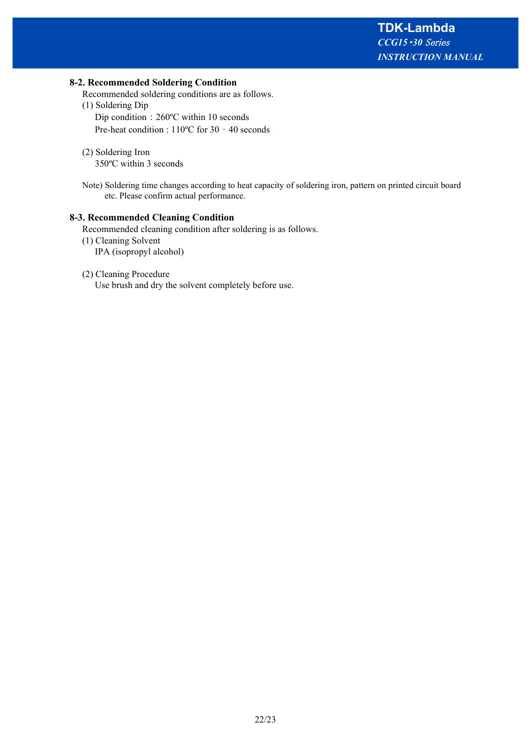#### **8-2. Recommended Soldering Condition**

Recommended soldering conditions are as follows.

- (1) Soldering Dip Dip condition : 260ºC within 10 seconds Pre-heat condition : 110ºC for 30 – 40 seconds
- (2) Soldering Iron 350ºC within 3 seconds
- Note) Soldering time changes according to heat capacity of soldering iron, pattern on printed circuit board etc. Please confirm actual performance.

#### **8-3. Recommended Cleaning Condition**

Recommended cleaning condition after soldering is as follows.

(1) Cleaning Solvent IPA (isopropyl alcohol)

#### (2) Cleaning Procedure

Use brush and dry the solvent completely before use.